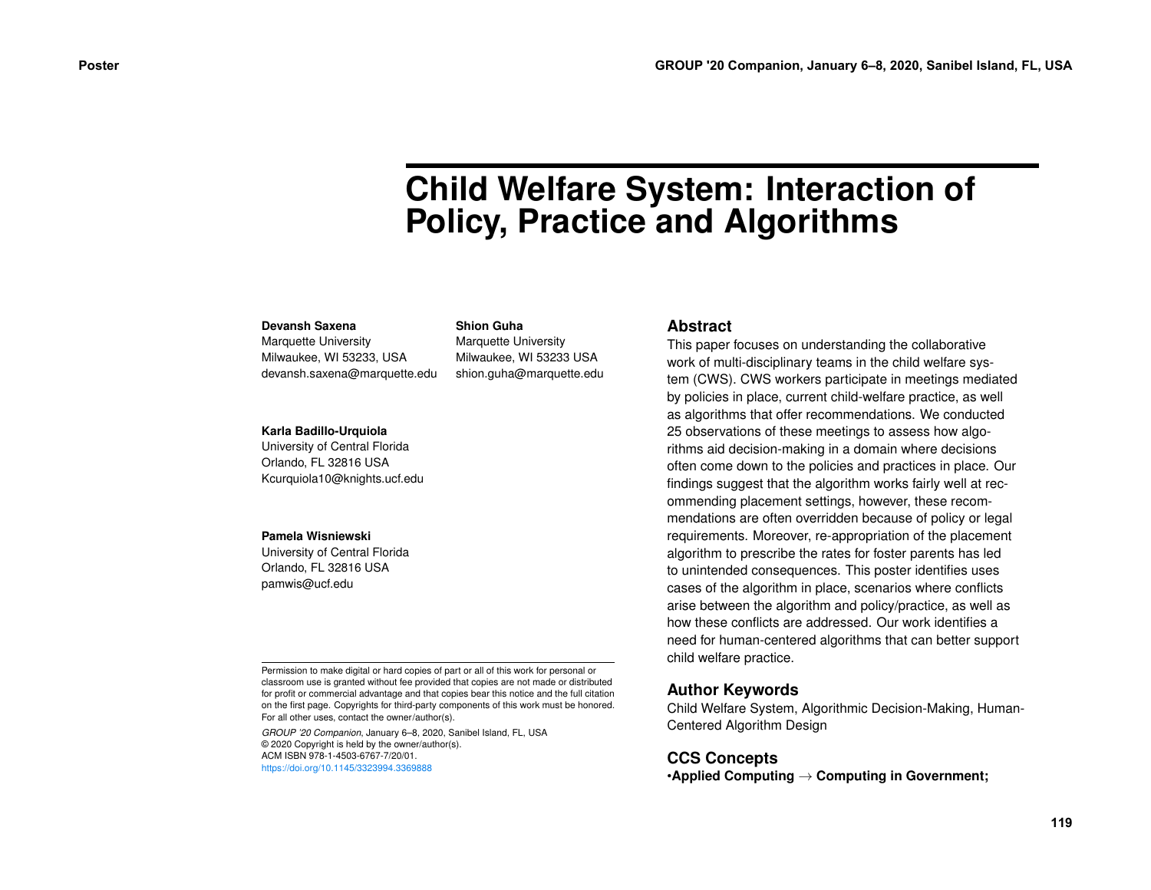# **Child Welfare System: Interaction of Policy, Practice and Algorithms**

#### **Devansh Saxena**

Marquette University Milwaukee, WI 53233, USA devansh.saxena@marquette.edu

#### **Shion Guha**

Marquette University Milwaukee, WI 53233 USA shion.guha@marquette.edu

#### **Karla Badillo-Urquiola**

University of Central Florida Orlando, FL 32816 USA Kcurquiola10@knights.ucf.edu

#### **Pamela Wisniewski**

University of Central Florida Orlando, FL 32816 USA pamwis@ucf.edu

Permission to make digital or hard copies of part or all of this work for personal or classroom use is granted without fee provided that copies are not made or distributed for profit or commercial advantage and that copies bear this notice and the full citation on the first page. Copyrights for third-party components of this work must be honored. For all other uses, contact the owner/author(s).

*GROUP '20 Companion*, January 6–8, 2020, Sanibel Island, FL, USA © 2020 Copyright is held by the owner/author(s). ACM ISBN 978-1-4503-6767-7/20/01. <https://doi.org/10.1145/3323994.3369888>

#### **Abstract**

This paper focuses on understanding the collaborative work of multi-disciplinary teams in the child welfare system (CWS). CWS workers participate in meetings mediated by policies in place, current child-welfare practice, as well as algorithms that offer recommendations. We conducted 25 observations of these meetings to assess how algorithms aid decision-making in a domain where decisions often come down to the policies and practices in place. Our findings suggest that the algorithm works fairly well at recommending placement settings, however, these recommendations are often overridden because of policy or legal requirements. Moreover, re-appropriation of the placement algorithm to prescribe the rates for foster parents has led to unintended consequences. This poster identifies uses cases of the algorithm in place, scenarios where conflicts arise between the algorithm and policy/practice, as well as how these conflicts are addressed. Our work identifies a need for human-centered algorithms that can better support child welfare practice.

### **Author Keywords**

Child Welfare System, Algorithmic Decision-Making, Human-Centered Algorithm Design

#### **CCS Concepts**

•**Applied Computing** → **Computing in Government;**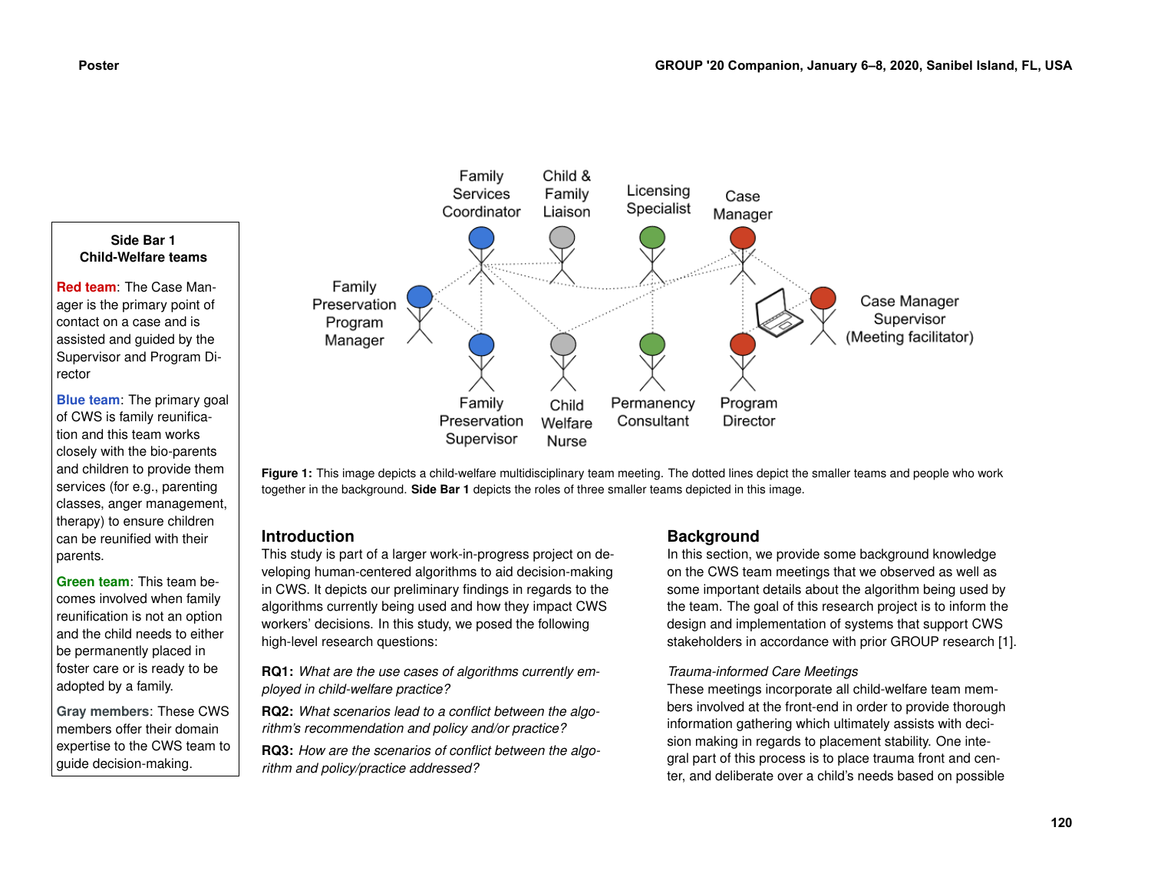

**Figure 1:** This image depicts a child-welfare multidisciplinary team meeting. The dotted lines depict the smaller teams and people who work together in the background. **Side Bar 1** depicts the roles of three smaller teams depicted in this image.

# **Introduction**

This study is part of a larger work-in-progress project on developing human-centered algorithms to aid decision-making in CWS. It depicts our preliminary findings in regards to the algorithms currently being used and how they impact CWS workers' decisions. In this study, we posed the following high-level research questions:

**RQ1:** *What are the use cases of algorithms currently employed in child-welfare practice?*

**RQ2:** *What scenarios lead to a conflict between the algorithm's recommendation and policy and/or practice?*

**RQ3:** *How are the scenarios of conflict between the algorithm and policy/practice addressed?*

# **Background**

In this section, we provide some background knowledge on the CWS team meetings that we observed as well as some important details about the algorithm being used by the team. The goal of this research project is to inform the design and implementation of systems that support CWS stakeholders in accordance with prior GROUP research [\[1\]](#page-3-0).

### *Trauma-informed Care Meetings*

These meetings incorporate all child-welfare team members involved at the front-end in order to provide thorough information gathering which ultimately assists with decision making in regards to placement stability. One integral part of this process is to place trauma front and center, and deliberate over a child's needs based on possible

services (for e.g., parenting classes, anger management, therapy) to ensure children can be reunified with their

**Green team**: This team becomes involved when family reunification is not an option and the child needs to either be permanently placed in foster care or is ready to be adopted by a family.

**Gray members**: These CWS members offer their domain expertise to the CWS team to guide decision-making.

parents.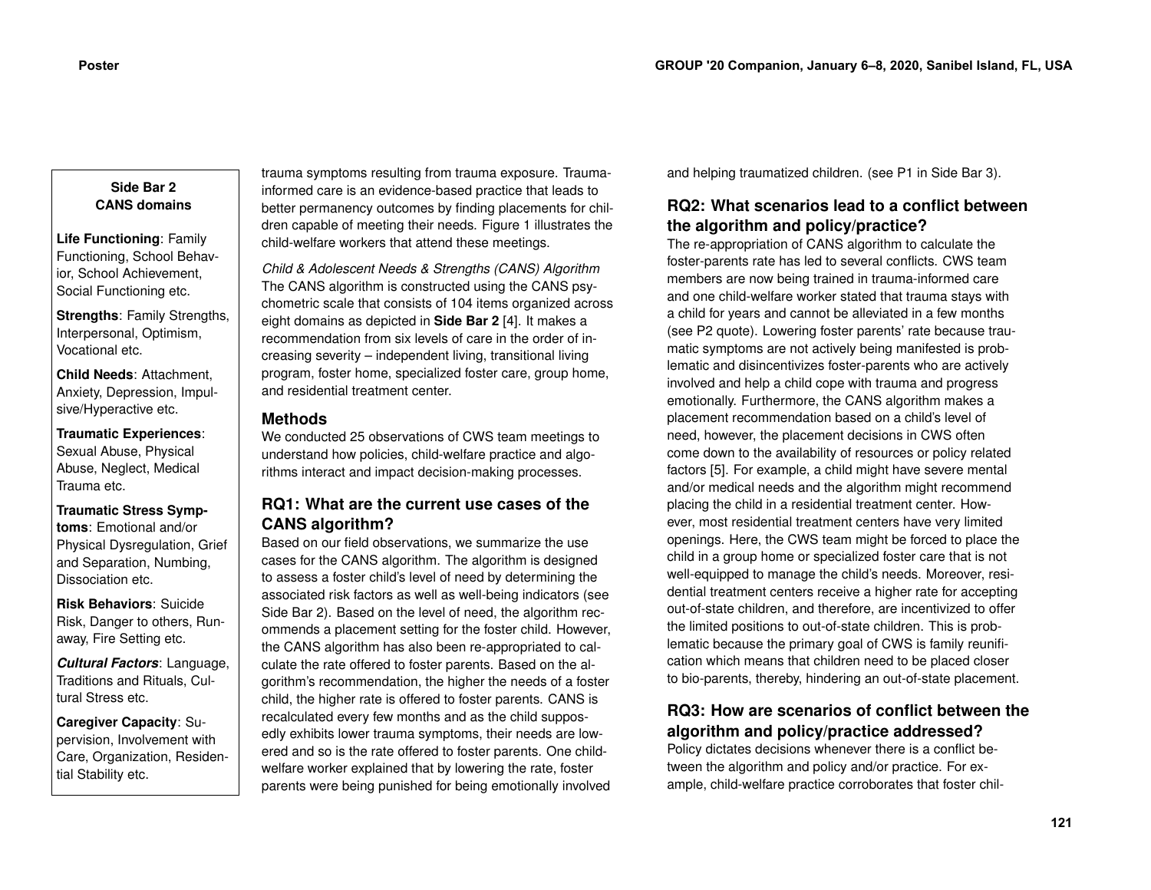#### **Side Bar 2 CANS domains**

**Life Functioning**: Family Functioning, School Behavior, School Achievement, Social Functioning etc.

**Strengths**: Family Strengths, Interpersonal, Optimism, Vocational etc.

**Child Needs**: Attachment, Anxiety, Depression, Impulsive/Hyperactive etc.

**Traumatic Experiences**: Sexual Abuse, Physical Abuse, Neglect, Medical Trauma etc.

**Traumatic Stress Symptoms**: Emotional and/or Physical Dysregulation, Grief and Separation, Numbing, Dissociation etc.

**Risk Behaviors**: Suicide Risk, Danger to others, Runaway, Fire Setting etc.

*Cultural Factors*: Language, Traditions and Rituals, Cultural Stress etc.

**Caregiver Capacity**: Supervision, Involvement with Care, Organization, Residential Stability etc.

trauma symptoms resulting from trauma exposure. Traumainformed care is an evidence-based practice that leads to better permanency outcomes by finding placements for children capable of meeting their needs. Figure 1 illustrates the child-welfare workers that attend these meetings.

*Child & Adolescent Needs & Strengths (CANS) Algorithm* The CANS algorithm is constructed using the CANS psychometric scale that consists of 104 items organized across eight domains as depicted in **Side Bar 2** [\[4\]](#page-3-1). It makes a recommendation from six levels of care in the order of increasing severity – independent living, transitional living program, foster home, specialized foster care, group home, and residential treatment center.

## **Methods**

We conducted 25 observations of CWS team meetings to understand how policies, child-welfare practice and algorithms interact and impact decision-making processes.

# **RQ1: What are the current use cases of the CANS algorithm?**

Based on our field observations, we summarize the use cases for the CANS algorithm. The algorithm is designed to assess a foster child's level of need by determining the associated risk factors as well as well-being indicators (see Side Bar 2). Based on the level of need, the algorithm recommends a placement setting for the foster child. However, the CANS algorithm has also been re-appropriated to calculate the rate offered to foster parents. Based on the algorithm's recommendation, the higher the needs of a foster child, the higher rate is offered to foster parents. CANS is recalculated every few months and as the child supposedly exhibits lower trauma symptoms, their needs are lowered and so is the rate offered to foster parents. One childwelfare worker explained that by lowering the rate, foster parents were being punished for being emotionally involved

and helping traumatized children. (see P1 in Side Bar 3).

# **RQ2: What scenarios lead to a conflict between the algorithm and policy/practice?**

The re-appropriation of CANS algorithm to calculate the foster-parents rate has led to several conflicts. CWS team members are now being trained in trauma-informed care and one child-welfare worker stated that trauma stays with a child for years and cannot be alleviated in a few months (see P2 quote). Lowering foster parents' rate because traumatic symptoms are not actively being manifested is problematic and disincentivizes foster-parents who are actively involved and help a child cope with trauma and progress emotionally. Furthermore, the CANS algorithm makes a placement recommendation based on a child's level of need, however, the placement decisions in CWS often come down to the availability of resources or policy related factors [\[5\]](#page-3-2). For example, a child might have severe mental and/or medical needs and the algorithm might recommend placing the child in a residential treatment center. However, most residential treatment centers have very limited openings. Here, the CWS team might be forced to place the child in a group home or specialized foster care that is not well-equipped to manage the child's needs. Moreover, residential treatment centers receive a higher rate for accepting out-of-state children, and therefore, are incentivized to offer the limited positions to out-of-state children. This is problematic because the primary goal of CWS is family reunification which means that children need to be placed closer to bio-parents, thereby, hindering an out-of-state placement.

# **RQ3: How are scenarios of conflict between the algorithm and policy/practice addressed?**

Policy dictates decisions whenever there is a conflict between the algorithm and policy and/or practice. For example, child-welfare practice corroborates that foster chil-